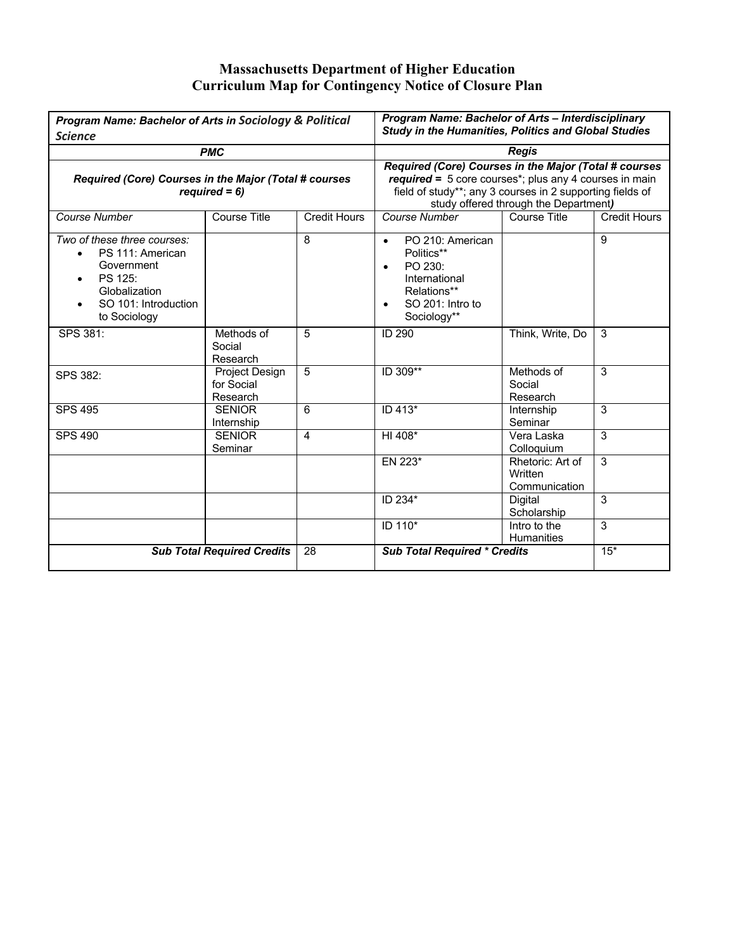## **Massachusetts Department of Higher Education Curriculum Map for Contingency Notice of Closure Plan**

| <b>Program Name: Bachelor of Arts in Sociology &amp; Political</b><br><b>Science</b>                                                           |                                          |    | Program Name: Bachelor of Arts - Interdisciplinary<br><b>Study in the Humanities, Politics and Global Studies</b>                                                                                                                       |                                              |       |
|------------------------------------------------------------------------------------------------------------------------------------------------|------------------------------------------|----|-----------------------------------------------------------------------------------------------------------------------------------------------------------------------------------------------------------------------------------------|----------------------------------------------|-------|
| <b>PMC</b><br>Required (Core) Courses in the Major (Total # courses<br>$required = 6$ )                                                        |                                          |    | <b>Regis</b><br>Required (Core) Courses in the Major (Total # courses<br>$required = 5$ core courses*; plus any 4 courses in main<br>field of study**; any 3 courses in 2 supporting fields of<br>study offered through the Department) |                                              |       |
|                                                                                                                                                |                                          |    |                                                                                                                                                                                                                                         |                                              |       |
| Two of these three courses:<br>PS 111: American<br>$\bullet$<br>Government<br>PS 125:<br>Globalization<br>SO 101: Introduction<br>to Sociology |                                          | 8  | PO 210: American<br>$\bullet$<br>Politics**<br>PO 230:<br>International<br>Relations**<br>SO 201: Intro to<br>Sociology**                                                                                                               |                                              | 9     |
| SPS 381:                                                                                                                                       | Methods of<br>Social<br>Research         | 5  | <b>ID 290</b>                                                                                                                                                                                                                           | Think, Write, Do                             | 3     |
| SPS 382:                                                                                                                                       | Project Design<br>for Social<br>Research | 5  | ID 309**                                                                                                                                                                                                                                | Methods of<br>Social<br>Research             | 3     |
| <b>SPS 495</b>                                                                                                                                 | <b>SENIOR</b><br>Internship              | 6  | ID 413*                                                                                                                                                                                                                                 | Internship<br>Seminar                        | 3     |
| <b>SPS 490</b>                                                                                                                                 | <b>SENIOR</b><br>Seminar                 | 4  | HI 408*                                                                                                                                                                                                                                 | Vera Laska<br>Colloquium                     | 3     |
|                                                                                                                                                |                                          |    | EN 223*                                                                                                                                                                                                                                 | Rhetoric: Art of<br>Written<br>Communication | 3     |
|                                                                                                                                                |                                          |    | ID 234*                                                                                                                                                                                                                                 | Digital<br>Scholarship                       | 3     |
|                                                                                                                                                |                                          |    | ID 110*                                                                                                                                                                                                                                 | Intro to the<br>Humanities                   | 3     |
| <b>Sub Total Required Credits</b>                                                                                                              |                                          | 28 | <b>Sub Total Required * Credits</b>                                                                                                                                                                                                     |                                              | $15*$ |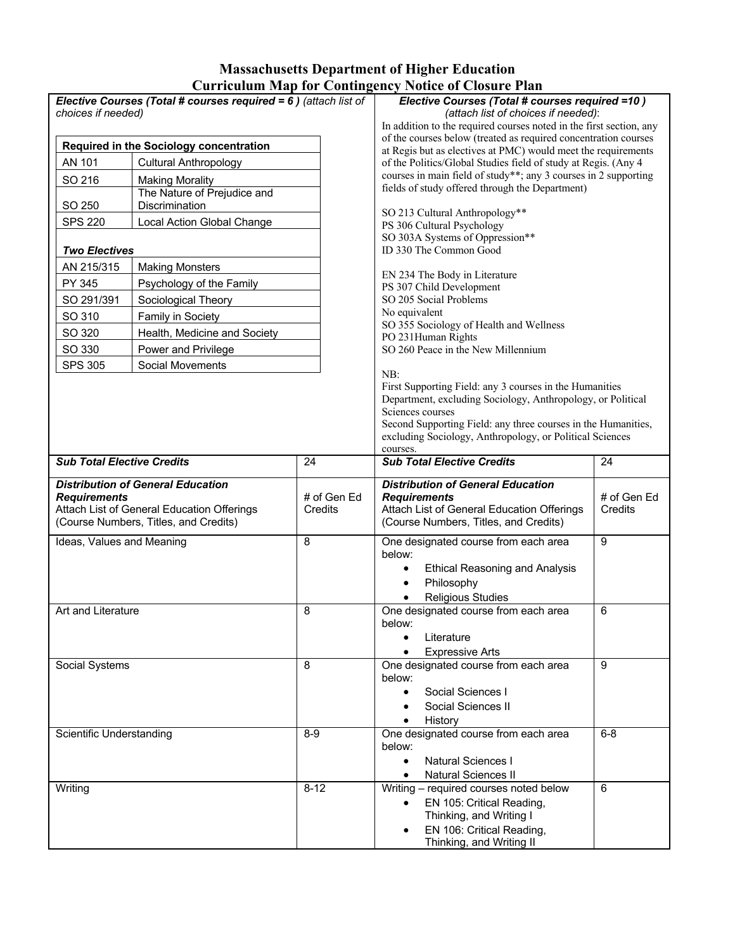## **Massachusetts Department of Higher Education Curriculum Map for Contingency Notice of Closure Plan**

| Elective Courses (Total # courses required = 6) (attach list of<br>choices if needed) |                                          | Elective Courses (Total # courses required =10)<br>(attach list of choices if needed): |                                                                                                                                 |                        |  |
|---------------------------------------------------------------------------------------|------------------------------------------|----------------------------------------------------------------------------------------|---------------------------------------------------------------------------------------------------------------------------------|------------------------|--|
|                                                                                       |                                          |                                                                                        | In addition to the required courses noted in the first section, any                                                             |                        |  |
| Required in the Sociology concentration                                               |                                          |                                                                                        | of the courses below (treated as required concentration courses                                                                 |                        |  |
| AN 101<br><b>Cultural Anthropology</b>                                                |                                          |                                                                                        | at Regis but as electives at PMC) would meet the requirements<br>of the Politics/Global Studies field of study at Regis. (Any 4 |                        |  |
|                                                                                       |                                          |                                                                                        | courses in main field of study**; any 3 courses in 2 supporting                                                                 |                        |  |
| SO 216<br><b>Making Morality</b><br>The Nature of Prejudice and                       |                                          |                                                                                        | fields of study offered through the Department)                                                                                 |                        |  |
| SO 250                                                                                | Discrimination                           |                                                                                        | SO 213 Cultural Anthropology**                                                                                                  |                        |  |
| <b>SPS 220</b>                                                                        | Local Action Global Change               |                                                                                        | PS 306 Cultural Psychology                                                                                                      |                        |  |
|                                                                                       |                                          |                                                                                        | SO 303A Systems of Oppression**                                                                                                 |                        |  |
| <b>Two Electives</b>                                                                  |                                          |                                                                                        | ID 330 The Common Good                                                                                                          |                        |  |
| AN 215/315                                                                            | <b>Making Monsters</b>                   |                                                                                        | EN 234 The Body in Literature                                                                                                   |                        |  |
| PY 345                                                                                | Psychology of the Family                 |                                                                                        | PS 307 Child Development                                                                                                        |                        |  |
| SO 291/391                                                                            | Sociological Theory                      |                                                                                        | SO 205 Social Problems                                                                                                          |                        |  |
| SO 310                                                                                | Family in Society                        |                                                                                        | No equivalent                                                                                                                   |                        |  |
| SO 320                                                                                | Health, Medicine and Society             |                                                                                        | SO 355 Sociology of Health and Wellness<br>PO 231Human Rights                                                                   |                        |  |
| SO 330                                                                                | Power and Privilege                      |                                                                                        | SO 260 Peace in the New Millennium                                                                                              |                        |  |
| <b>SPS 305</b>                                                                        | Social Movements                         |                                                                                        |                                                                                                                                 |                        |  |
|                                                                                       |                                          |                                                                                        | NB:<br>First Supporting Field: any 3 courses in the Humanities                                                                  |                        |  |
|                                                                                       |                                          |                                                                                        | Department, excluding Sociology, Anthropology, or Political                                                                     |                        |  |
|                                                                                       |                                          |                                                                                        | Sciences courses                                                                                                                |                        |  |
|                                                                                       |                                          |                                                                                        | Second Supporting Field: any three courses in the Humanities,                                                                   |                        |  |
|                                                                                       |                                          |                                                                                        | excluding Sociology, Anthropology, or Political Sciences<br>courses.                                                            |                        |  |
| <b>Sub Total Elective Credits</b>                                                     |                                          | 24                                                                                     | <b>Sub Total Elective Credits</b>                                                                                               | 24                     |  |
|                                                                                       |                                          |                                                                                        |                                                                                                                                 |                        |  |
|                                                                                       | <b>Distribution of General Education</b> | # of Gen Ed                                                                            | <b>Distribution of General Education</b>                                                                                        |                        |  |
| <b>Requirements</b><br>Attach List of General Education Offerings                     |                                          | Credits                                                                                | <b>Requirements</b><br>Attach List of General Education Offerings                                                               | # of Gen Ed<br>Credits |  |
| (Course Numbers, Titles, and Credits)                                                 |                                          |                                                                                        | (Course Numbers, Titles, and Credits)                                                                                           |                        |  |
| Ideas, Values and Meaning                                                             |                                          | 8                                                                                      | One designated course from each area                                                                                            | 9                      |  |
|                                                                                       |                                          |                                                                                        | below:                                                                                                                          |                        |  |
|                                                                                       |                                          |                                                                                        | <b>Ethical Reasoning and Analysis</b>                                                                                           |                        |  |
|                                                                                       |                                          |                                                                                        | Philosophy                                                                                                                      |                        |  |
|                                                                                       |                                          |                                                                                        |                                                                                                                                 |                        |  |
|                                                                                       | Art and Literature                       |                                                                                        | <b>Religious Studies</b>                                                                                                        |                        |  |
|                                                                                       |                                          | 8                                                                                      | One designated course from each area                                                                                            | 6                      |  |
|                                                                                       |                                          |                                                                                        | below:                                                                                                                          |                        |  |
|                                                                                       |                                          |                                                                                        | Literature                                                                                                                      |                        |  |
|                                                                                       |                                          | 8                                                                                      | <b>Expressive Arts</b><br>One designated course from each area                                                                  | 9                      |  |
| Social Systems                                                                        |                                          |                                                                                        | below:                                                                                                                          |                        |  |
|                                                                                       |                                          |                                                                                        | Social Sciences I                                                                                                               |                        |  |
|                                                                                       |                                          |                                                                                        | Social Sciences II                                                                                                              |                        |  |
|                                                                                       |                                          |                                                                                        | History                                                                                                                         |                        |  |
| Scientific Understanding                                                              |                                          | $8-9$                                                                                  | One designated course from each area                                                                                            | $6 - 8$                |  |
|                                                                                       |                                          |                                                                                        | below:<br><b>Natural Sciences I</b><br>$\bullet$                                                                                |                        |  |
|                                                                                       |                                          |                                                                                        | <b>Natural Sciences II</b>                                                                                                      |                        |  |
| Writing                                                                               |                                          | $8 - 12$                                                                               | Writing - required courses noted below                                                                                          | 6                      |  |
|                                                                                       |                                          |                                                                                        | EN 105: Critical Reading,                                                                                                       |                        |  |
|                                                                                       |                                          |                                                                                        | Thinking, and Writing I<br>EN 106: Critical Reading,                                                                            |                        |  |